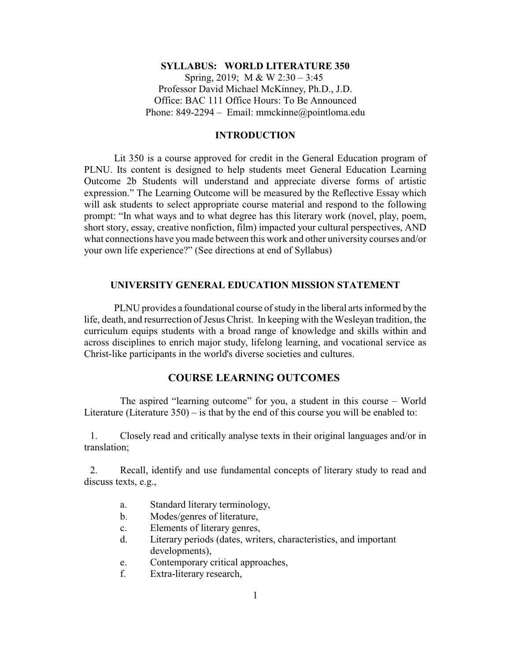#### **SYLLABUS: WORLD LITERATURE 350**

Spring, 2019; M & W 2:30 – 3:45 Professor David Michael McKinney, Ph.D., J.D. Office: BAC 111 Office Hours: To Be Announced Phone: 849-2294 – Email: mmckinne@pointloma.edu

## **INTRODUCTION**

Lit 350 is a course approved for credit in the General Education program of PLNU. Its content is designed to help students meet General Education Learning Outcome 2b Students will understand and appreciate diverse forms of artistic expression." The Learning Outcome will be measured by the Reflective Essay which will ask students to select appropriate course material and respond to the following prompt: "In what ways and to what degree has this literary work (novel, play, poem, short story, essay, creative nonfiction, film) impacted your cultural perspectives, AND what connections have you made between this work and other university courses and/or your own life experience?" (See directions at end of Syllabus)

### **UNIVERSITY GENERAL EDUCATION MISSION STATEMENT**

PLNU provides a foundational course of study in the liberal arts informed by the life, death, and resurrection of Jesus Christ. In keeping with the Wesleyan tradition, the curriculum equips students with a broad range of knowledge and skills within and across disciplines to enrich major study, lifelong learning, and vocational service as Christ-like participants in the world's diverse societies and cultures.

# **COURSE LEARNING OUTCOMES**

The aspired "learning outcome" for you, a student in this course – World Literature (Literature 350) – is that by the end of this course you will be enabled to:

1. Closely read and critically analyse texts in their original languages and/or in translation;

2. Recall, identify and use fundamental concepts of literary study to read and discuss texts, e.g.,

- a. Standard literary terminology,
- b. Modes/genres of literature,
- c. Elements of literary genres,
- d. Literary periods (dates, writers, characteristics, and important developments),
- e. Contemporary critical approaches,
- f. Extra-literary research,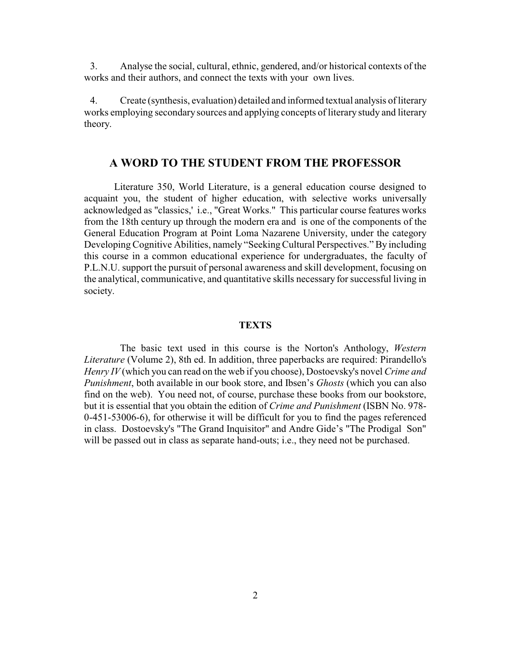3. Analyse the social, cultural, ethnic, gendered, and/or historical contexts of the works and their authors, and connect the texts with your own lives.

4. Create (synthesis, evaluation) detailed and informed textual analysis of literary works employing secondary sources and applying concepts of literary study and literary theory.

# **A WORD TO THE STUDENT FROM THE PROFESSOR**

Literature 350, World Literature, is a general education course designed to acquaint you, the student of higher education, with selective works universally acknowledged as "classics,' i.e., "Great Works." This particular course features works from the 18th century up through the modern era and is one of the components of the General Education Program at Point Loma Nazarene University, under the category Developing Cognitive Abilities, namely "Seeking Cultural Perspectives." By including this course in a common educational experience for undergraduates, the faculty of P.L.N.U. support the pursuit of personal awareness and skill development, focusing on the analytical, communicative, and quantitative skills necessary for successful living in society.

#### **TEXTS**

The basic text used in this course is the Norton's Anthology, *Western Literature* (Volume 2), 8th ed. In addition, three paperbacks are required: Pirandello's *Henry IV* (which you can read on the web if you choose), Dostoevsky's novel *Crime and Punishment*, both available in our book store, and Ibsen's *Ghosts* (which you can also find on the web). You need not, of course, purchase these books from our bookstore, but it is essential that you obtain the edition of *Crime and Punishment* (ISBN No. 978- 0-451-53006-6), for otherwise it will be difficult for you to find the pages referenced in class. Dostoevsky's "The Grand Inquisitor" and Andre Gide's "The Prodigal Son" will be passed out in class as separate hand-outs; i.e., they need not be purchased.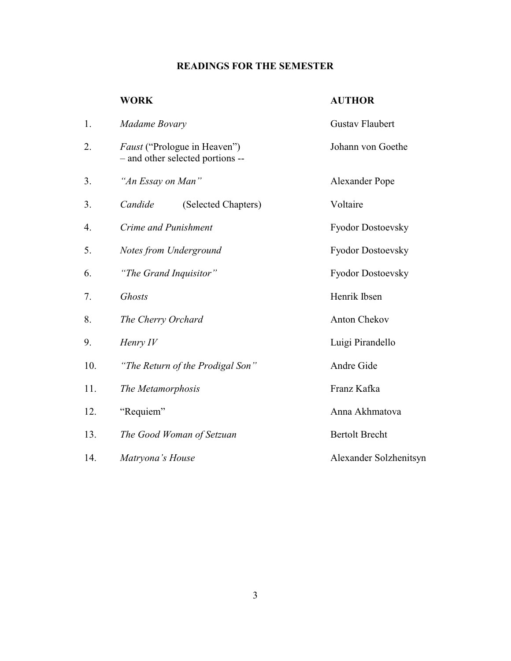# **READINGS FOR THE SEMESTER**

# **WORK AUTHOR**

| 1.  | Madame Bovary                                                           | <b>Gustav Flaubert</b><br>Johann von Goethe |  |
|-----|-------------------------------------------------------------------------|---------------------------------------------|--|
| 2.  | <i>Faust</i> ("Prologue in Heaven")<br>- and other selected portions -- |                                             |  |
| 3.  | "An Essay on Man"                                                       | <b>Alexander Pope</b>                       |  |
| 3.  | Candide<br>(Selected Chapters)                                          | Voltaire                                    |  |
| 4.  | Crime and Punishment                                                    | <b>Fyodor Dostoevsky</b>                    |  |
| 5.  | Notes from Underground                                                  | Fyodor Dostoevsky                           |  |
| 6.  | "The Grand Inquisitor"                                                  | Fyodor Dostoevsky                           |  |
| 7.  | <b>Ghosts</b>                                                           | Henrik Ibsen                                |  |
| 8.  | The Cherry Orchard                                                      | <b>Anton Chekov</b>                         |  |
| 9.  | Henry IV                                                                | Luigi Pirandello                            |  |
| 10. | "The Return of the Prodigal Son"                                        | Andre Gide                                  |  |
| 11. | The Metamorphosis                                                       | Franz Kafka                                 |  |
| 12. | "Requiem"                                                               | Anna Akhmatova                              |  |
| 13. | The Good Woman of Setzuan                                               | <b>Bertolt Brecht</b>                       |  |
| 14. | Matryona's House                                                        | Alexander Solzhenitsyn                      |  |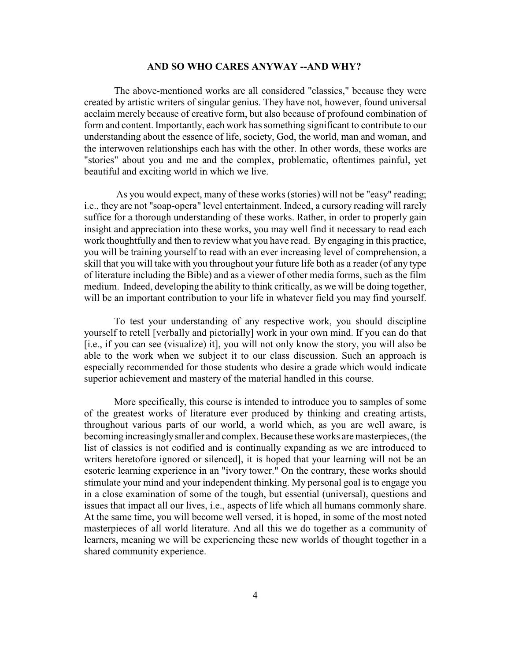#### **AND SO WHO CARES ANYWAY --AND WHY?**

The above-mentioned works are all considered "classics," because they were created by artistic writers of singular genius. They have not, however, found universal acclaim merely because of creative form, but also because of profound combination of form and content. Importantly, each work has something significant to contribute to our understanding about the essence of life, society, God, the world, man and woman, and the interwoven relationships each has with the other. In other words, these works are "stories" about you and me and the complex, problematic, oftentimes painful, yet beautiful and exciting world in which we live.

As you would expect, many of these works (stories) will not be "easy" reading; i.e., they are not "soap-opera" level entertainment. Indeed, a cursory reading will rarely suffice for a thorough understanding of these works. Rather, in order to properly gain insight and appreciation into these works, you may well find it necessary to read each work thoughtfully and then to review what you have read. By engaging in this practice, you will be training yourself to read with an ever increasing level of comprehension, a skill that you will take with you throughout your future life both as a reader (of any type of literature including the Bible) and as a viewer of other media forms, such as the film medium. Indeed, developing the ability to think critically, as we will be doing together, will be an important contribution to your life in whatever field you may find yourself.

To test your understanding of any respective work, you should discipline yourself to retell [verbally and pictorially] work in your own mind. If you can do that [i.e., if you can see (visualize) it], you will not only know the story, you will also be able to the work when we subject it to our class discussion. Such an approach is especially recommended for those students who desire a grade which would indicate superior achievement and mastery of the material handled in this course.

More specifically, this course is intended to introduce you to samples of some of the greatest works of literature ever produced by thinking and creating artists, throughout various parts of our world, a world which, as you are well aware, is becoming increasinglysmaller and complex. Because theseworks are masterpieces, (the list of classics is not codified and is continually expanding as we are introduced to writers heretofore ignored or silenced], it is hoped that your learning will not be an esoteric learning experience in an "ivory tower." On the contrary, these works should stimulate your mind and your independent thinking. My personal goal is to engage you in a close examination of some of the tough, but essential (universal), questions and issues that impact all our lives, i.e., aspects of life which all humans commonly share. At the same time, you will become well versed, it is hoped, in some of the most noted masterpieces of all world literature. And all this we do together as a community of learners, meaning we will be experiencing these new worlds of thought together in a shared community experience.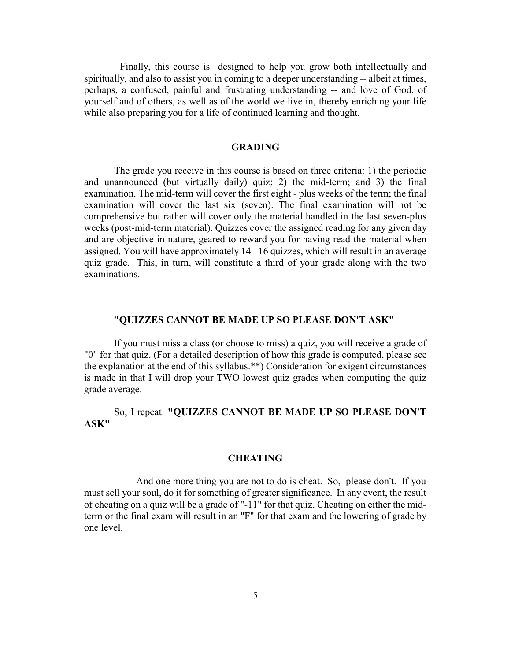Finally, this course is designed to help you grow both intellectually and spiritually, and also to assist you in coming to a deeper understanding -- albeit at times, perhaps, a confused, painful and frustrating understanding -- and love of God, of yourself and of others, as well as of the world we live in, thereby enriching your life while also preparing you for a life of continued learning and thought.

#### **GRADING**

The grade you receive in this course is based on three criteria: 1) the periodic and unannounced (but virtually daily) quiz; 2) the mid-term; and 3) the final examination. The mid-term will cover the first eight - plus weeks of the term; the final examination will cover the last six (seven). The final examination will not be comprehensive but rather will cover only the material handled in the last seven-plus weeks (post-mid-term material). Quizzes cover the assigned reading for any given day and are objective in nature, geared to reward you for having read the material when assigned. You will have approximately 14 –16 quizzes, which will result in an average quiz grade. This, in turn, will constitute a third of your grade along with the two examinations.

### **"QUIZZES CANNOT BE MADE UP SO PLEASE DON'T ASK"**

If you must miss a class (or choose to miss) a quiz, you will receive a grade of "0" for that quiz. (For a detailed description of how this grade is computed, please see the explanation at the end of this syllabus.\*\*) Consideration for exigent circumstances is made in that I will drop your TWO lowest quiz grades when computing the quiz grade average.

So, I repeat: **"QUIZZES CANNOT BE MADE UP SO PLEASE DON'T ASK"**

#### **CHEATING**

And one more thing you are not to do is cheat. So, please don't. If you must sell your soul, do it for something of greater significance. In any event, the result of cheating on a quiz will be a grade of "-11" for that quiz. Cheating on either the midterm or the final exam will result in an "F" for that exam and the lowering of grade by one level.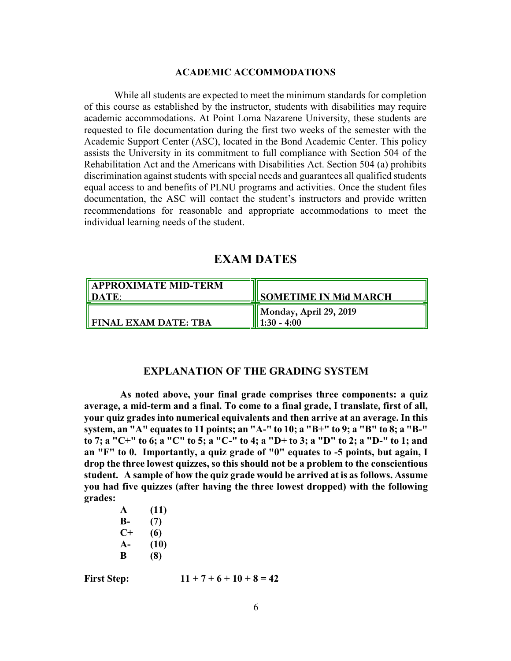#### **ACADEMIC ACCOMMODATIONS**

While all students are expected to meet the minimum standards for completion of this course as established by the instructor, students with disabilities may require academic accommodations. At Point Loma Nazarene University, these students are requested to file documentation during the first two weeks of the semester with the Academic Support Center (ASC), located in the Bond Academic Center. This policy assists the University in its commitment to full compliance with Section 504 of the Rehabilitation Act and the Americans with Disabilities Act. Section 504 (a) prohibits discrimination against students with special needs and guarantees all qualified students equal access to and benefits of PLNU programs and activities. Once the student files documentation, the ASC will contact the student's instructors and provide written recommendations for reasonable and appropriate accommodations to meet the individual learning needs of the student.

# **EXAM DATES**

| <b>APPROXIMATE MID-TERM</b><br>II DATE | <b>ISOMETIME IN Mid MARCH</b>            |
|----------------------------------------|------------------------------------------|
| <b>FINAL EXAM DATE: TBA</b>            | Monday, April 29, 2019<br>   1:30 - 4:00 |

#### **EXPLANATION OF THE GRADING SYSTEM**

**As noted above, your final grade comprises three components: a quiz average, a mid-term and a final. To come to a final grade, I translate, first of all, your quiz grades into numerical equivalents and then arrive at an average. In this system, an "A" equates to 11 points; an "A-" to 10; a "B+" to 9; a "B" to 8; a "B-" to 7; a "C+" to 6; a "C" to 5; a "C-" to 4; a "D+ to 3; a "D" to 2; a "D-" to 1; and an "F" to 0. Importantly, a quiz grade of "0" equates to -5 points, but again, I drop the three lowest quizzes, so this should not be a problem to the conscientious student. A sample of how the quiz grade would be arrived at is as follows. Assume you had five quizzes (after having the three lowest dropped) with the following grades:**

> **A (11) B- (7) C+ (6) A- (10) B (8)**

**First Step:**  $11 + 7 + 6 + 10 + 8 = 42$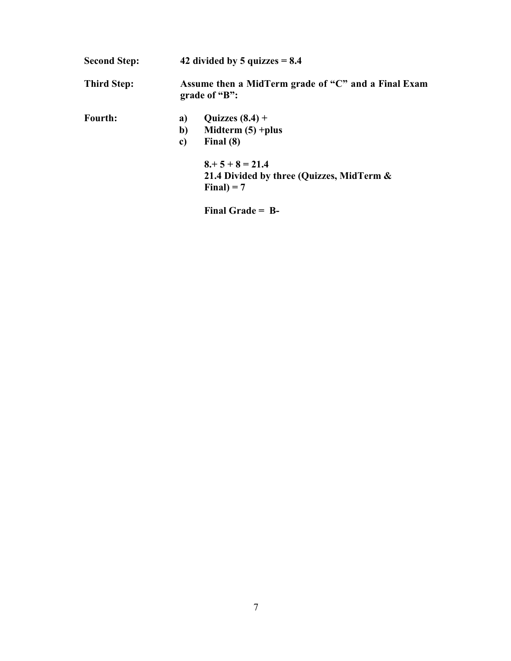| <b>Second Step:</b> | 42 divided by 5 quizzes $= 8.4$                                      |                                                                                |  |
|---------------------|----------------------------------------------------------------------|--------------------------------------------------------------------------------|--|
| <b>Third Step:</b>  | Assume then a MidTerm grade of "C" and a Final Exam<br>grade of "B": |                                                                                |  |
| <b>Fourth:</b>      | a)<br>b)<br>c)                                                       | Quizzes $(8.4)$ +<br>Midterm $(5)$ +plus<br>Final $(8)$                        |  |
|                     |                                                                      | $8 + 5 + 8 = 21.4$<br>21.4 Divided by three (Quizzes, MidTerm &<br>Final $= 7$ |  |

**Final Grade = B-**